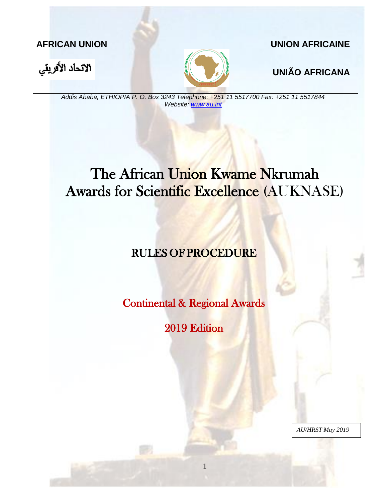

### **AFRICAN UNION UNION AFRICAINE**



*Addis Ababa, ETHIOPIA P. O. Box 3243 Telephone: +251 11 5517700 Fax: +251 11 5517844 Website: [www.au.int](http://www.au.int/)*

# The African Union Kwame Nkrumah Awards for Scientific Excellence (AUKNASE)

## RULES OF PROCEDURE

Continental & Regional Awards

2019 Edition

1

*AU/HRST May 2019*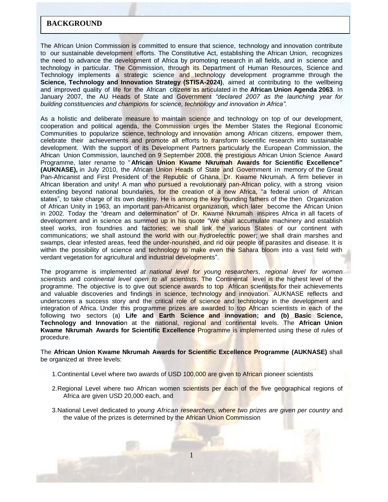#### **BACKGROUND**

The African Union Commission is committed to ensure that science, technology and innovation contribute to our sustainable development efforts. The Constitutive Act, establishing the African Union, recognizes the need to advance the development of Africa by promoting research in all fields, and in science and technology in particular. The Commission, through its Department of Human Resources, Science and Technology implements a strategic science and technology development programme through the **Science, Technology and Innovation Strategy (STISA-2024)**, aimed at contributing to the wellbeing and improved quality of life for the African citizens as articulated in the **African Union Agenda 2063**. In January 2007, the AU Heads of State and Government *"declared 2007 as the launching year for building constituencies and champions for science, technology and innovation in Africa"*.

As a holistic and deliberate measure to maintain science and technology on top of our development, cooperation and political agenda, the Commission urges the Member States the Regional Economic Communities to popularize science, technology and innovation among African citizens, empower them, celebrate their achievements and promote all efforts to transform scientific research into sustainable development. With the support of its Development Partners particularly the European Commission, the African Union Commission, launched on 9 September 2008, the prestigious African Union Science Award Programme, later rename to " **African Union Kwame Nkrumah Awards for Scientific Excellence" (AUKNASE),** in July 2010, the African Union Heads of State and Government in memory of the Great Pan-Africanist and First President of the Republic of Ghana, Dr. Kwame Nkrumah. A firm believer in African liberation and unity! A man who pursued a revolutionary pan-African policy, with a strong vision extending beyond national boundaries, for the creation of a new Africa, "a federal union of African states", to take charge of its own destiny. He is among the key founding fathers of the then Organization of African Unity in 1963, an important pan-Africanist organization, which later become the African Union in 2002. Today the "dream and determination" of Dr. Kwame Nkrumah inspires Africa in all facets of development and in science as summed up in his quote "We shall accumulate machinery and establish steel works, iron foundries and factories; we shall link the various States of our continent with communications; we shall astound the world with our hydroelectric power; we shall drain marshes and swamps, clear infested areas, feed the under-nourished, and rid our people of parasites and disease. It is within the possibility of science and technology to make even the Sahara bloom into a vast field with verdant vegetation for agricultural and industrial developments".

The programme is implemented *at national level for young researchers*, *regional level for women scientists* and *continental level open to all scientists*. The Continental level is the highest level of the programme. The objective is to give out science awards to top African scientists for their achievements and valuable discoveries and findings in science, technology and innovation. AUKNASE reflects and underscores a success story and the critical role of science and technology in the development and integration of Africa. Under this programme prizes are awarded to top African scientists in each of the following two sectors (a) **Life and Earth Science and innovation; and (b) Basic Science, Technology and Innovatio**n at the national, regional and continental levels. The **African Union Kwame Nkrumah Awards for Scientific Excellence** Programme is implemented using these of rules of procedure.

The **African Union Kwame Nkrumah Awards for Scientific Excellence Programme (AUKNASE)** shall be organized at three levels:

- 1.Continental Level where two awards of USD 100,000 are given to African pioneer scientists
- 2. Regional Level where two African women scientists per each of the five geographical regions of Africa are given USD 20,000 each, and
- 3.National Level dedicated to *young African researchers, where two prizes are given per country* and the value of the prizes is determined by the African Union Commission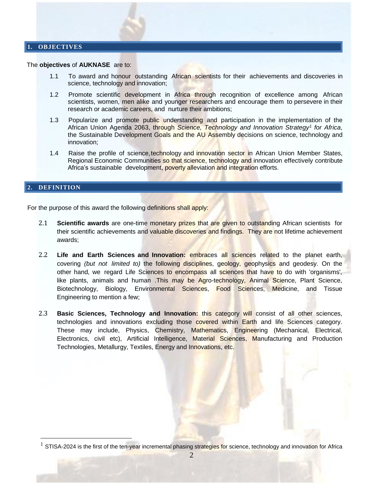#### **1. OBJECTIVES**

#### The **objectives** of **AUKNASE** are to:

- 1.1 To award and honour outstanding African scientists for their achievements and discoveries in science, technology and innovation;
- 1.2 Promote scientific development in Africa through recognition of excellence among African scientists, women, men alike and younger researchers and encourage them to persevere in their research or academic careers, and nurture their ambitions;
- 1.3 Popularize and promote public understanding and participation in the implementation of the African Union Agenda 2063, through *Science, Technology and Innovation Strategy<sup>1</sup> for Africa*, the Sustainable Development Goals and the AU Assembly decisions on science, technology and innovation;
- 1.4 Raise the profile of science, technology and innovation sector in African Union Member States, Regional Economic Communities so that science, technology and innovation effectively contribute Africa's sustainable development, poverty alleviation and integration efforts.

#### **2. DEFINITION**

 $\overline{a}$ 

For the purpose of this award the following definitions shall apply:

- 2.1 **Scientific awards** are one-time monetary prizes that are given to outstanding African scientists for their scientific achievements and valuable discoveries and findings. They are not lifetime achievement awards;
- 2.2 **Life and Earth Sciences and Innovation:** embraces all sciences related to the planet earth, covering *(but not limited to)* the following disciplines, geology, geophysics and geodesy. On the other hand, we regard Life Sciences to encompass all sciences that have to do with 'organisms', like plants, animals and human .This may be Agro-technology, Animal Science, Plant Science, Biotechnology, Biology, Environmental Sciences, Food Sciences, Medicine, and Tissue Engineering to mention a few;
- 2.3 **Basic Sciences, Technology and Innovation:** this category will consist of all other sciences, technologies and innovations excluding those covered within Earth and life Sciences category. These may include, Physics, Chemistry, Mathematics, Engineering (Mechanical, Electrical, Electronics, civil etc), Artificial Intelligence, Material Sciences, Manufacturing and Production Technologies, Metallurgy, Textiles, Energy and Innovations, etc.

<sup>&</sup>lt;sup>1</sup> STISA-2024 is the first of the ten-year incremental phasing strategies for science, technology and innovation for Africa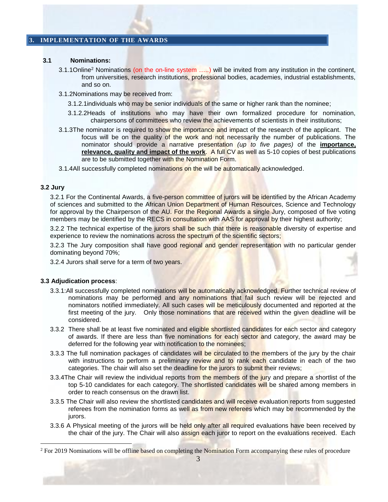#### <span id="page-3-0"></span>**3. IMPLEMENTATION OF THE AWARDS**

#### **3.1 Nominations:**

- 3.1.1Online<sup>2</sup> Nominations (on the on-line system .....) will be invited from any institution in the continent, from universities, research institutions, professional bodies, academies, industrial establishments, and so on.
- 3.1.2Nominations may be received from:
	- 3.1.2.1 individuals who may be senior individuals of the same or higher rank than the nominee;
	- 3.1.2.2Heads of institutions who may have their own formalized procedure for nomination, chairpersons of committees who review the achievements of scientists in their institutions;
- 3.1.3The nominator is required to show the importance and impact of the research of the applicant. The focus will be on the quality of the work and not necessarily the number of publications. The nominator should provide a narrative presentation *(up to five pages)* of the **importance, relevance, quality and impact of the work**. A full CV as well as 5-10 copies of best publications are to be submitted together with the Nomination Form.
- 3.1.4All successfully completed nominations on the will be automatically acknowledged.

#### **3.2 Jury**

 $\overline{a}$ 

3.2.1 For the Continental Awards, a five-person committee of jurors will be identified by the African Academy of sciences and submitted to the African Union Department of Human Resources, Science and Technology for approval by the Chairperson of the AU. For the Regional Awards a single Jury, composed of five voting members may be identified by the RECS in consultation with AAS for approval by their highest authority;

3.2.2 The technical expertise of the jurors shall be such that there is reasonable diversity of expertise and experience to review the nominations across the spectrum of the scientific sectors;

3.2.3 The Jury composition shall have good regional and gender representation with no particular gender dominating beyond 70%;

3.2.4 Jurors shall serve for a term of two years.

#### **3.3 Adjudication process**:

- 3.3.1:All successfully completed nominations will be automatically acknowledged. Further technical review of nominations may be performed and any nominations that fail such review will be rejected and nominators notified immediately. All such cases will be meticulously documented and reported at the first meeting of the jury. Only those nominations that are received within the given deadline will be considered.
- 3.3.2 There shall be at least five nominated and eligible shortlisted candidates for each sector and category of awards. If there are less than five nominations for each sector and category, the award may be deferred for the following year with notification to the nominees;
- 3.3.3 The full nomination packages of candidates will be circulated to the members of the jury by the chair with instructions to perform a preliminary review and to rank each candidate in each of the two categories. The chair will also set the deadline for the jurors to submit their reviews;
- 3.3.4The Chair will review the individual reports from the members of the jury and prepare a shortlist of the top 5-10 candidates for each category. The shortlisted candidates will be shared among members in order to reach consensus on the drawn list.
- 3.3.5 The Chair will also review the shortlisted candidates and will receive evaluation reports from suggested referees from the nomination forms as well as from new referees which may be recommended by the jurors.
- 3.3.6 A Physical meeting of the jurors will be held only after all required evaluations have been received by the chair of the jury. The Chair will also assign each juror to report on the evaluations received. Each

<sup>&</sup>lt;sup>2</sup> For 2019 Nominations will be offline based on completing the Nomination Form accompanying these rules of procedure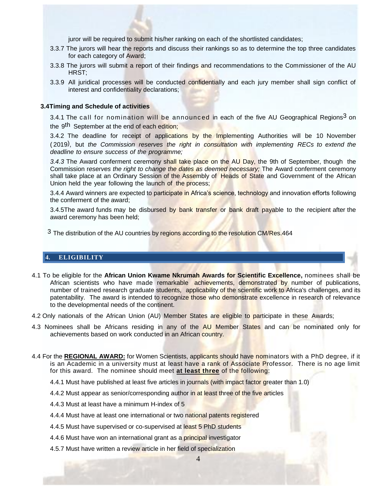juror will be required to submit his/her ranking on each of the shortlisted candidates;

- 3.3.7 The jurors will hear the reports and discuss their rankings so as to determine the top three candidates for each category of Award;
- 3.3.8 The jurors will submit a report of their findings and recommendations to the Commissioner of the AU HRST;
- 3.3.9 All juridical processes will be conducted confidentially and each jury member shall sign conflict of interest and confidentiality declarations;

#### **3.4Timing and Schedule of activities**

3.4.1 The call for nomination will be announced in each of the five AU Geographical Regions<sup>3</sup> on the 9<sup>th</sup> September at the end of each edition;

3.4.2 The deadline [for](#page-4-0) receipt of applications by the Implementing Authorities will be 10 November ( 2019) , but *the Commission reserves the right in consultation with implementing RECs to extend the deadline to ensure success of the programme;*

*3.4.3* The Award conferment ceremony shall take place on the AU Day, the 9th of September, though the Commission r*eserves the right to change the dates as deemed necessary;* The Award conferment ceremony shall take place at an Ordinary Session of the Assembly of Heads of State and Government of the African Union held the year following the launch of the process;

<span id="page-4-0"></span>3.4.4 Award winners are expected to participate in Africa's science, technology and innovation efforts following the conferment of the award;

3.4.5The award funds may be disbursed by bank transfer or bank draft payable to the recipient after the award ceremony has been held;

<sup>3</sup> The distribution of the AU countries by regions according to the resolution CM/Res.464

#### **4. ELIGIBILITY**

- 4.1 To be eligible for the **African Union Kwame Nkrumah Awards for Scientific Excellence,** nominees shall be African scientists who have made remarkable achievements, demonstrated by number of publications, number of trained research graduate students, applicability of the scientific work to Africa's challenges, and its patentability. The award is intended to recognize those who demonstrate excellence in research of relevance to the developmental needs of the continent.
- 4.2 Only nationals of the African Union (AU) Member States are eligible to participate in these Awards;
- 4.3 Nominees shall be Africans residing in any of the AU Member States and can be nominated only for achievements based on work conducted in an African country.
- 4.4 For the **REGIONAL AWARD:** for Women Scientists, applicants should have nominators with a PhD degree, if it is an Academic in a university must at least have a rank of Associate Professor. There is no age limit for this award. The nominee should meet **at least three** of the following:
	- 4.4.1 Must have published at least five articles in journals (with impact factor greater than 1.0)
	- 4.4.2 Must appear as senior/corresponding author in at least three of the five articles
	- 4.4.3 Must at least have a minimum H-index of 5
	- 4.4.4 Must have at least one international or two national patents registered
	- 4.4.5 Must have supervised or co-supervised at least 5 PhD students
	- 4.4.6 Must have won an international grant as a principal investigator
	- 4.5.7 Must have written a review article in her field of specialization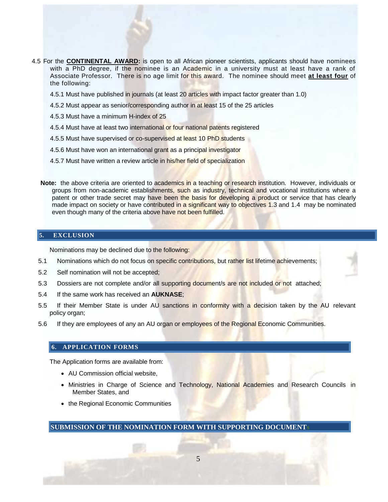- 4.5 For the **CONTINENTAL AWARD:** is open to all African pioneer scientists, applicants should have nominees with a PhD degree, if the nominee is an Academic in a university must at least have a rank of Associate Professor. There is no age limit for this award. The nominee should meet **at least four** of the following:
	- 4.5.1 Must have published in journals (at least 20 articles with impact factor greater than 1.0)
	- 4.5.2 Must appear as senior/corresponding author in at least 15 of the 25 articles
	- 4.5.3 Must have a minimum H-index of 25
	- 4.5.4 Must have at least two international or four national patents registered
	- 4.5.5 Must have supervised or co-supervised at least 10 PhD students
	- 4.5.6 Must have won an international grant as a principal investigator
	- 4.5.7 Must have written a review article in his/her field of specialization
	- **Note:** the above criteria are oriented to academics in a teaching or research institution. However, individuals or groups from non-academic establishments, such as industry, technical and vocational institutions where a patent or other trade secret may have been the basis for developing a product or service that has clearly made impact on society or have contributed in a significant way to objectives 1.3 and 1.4 may be nominated even though many of the criteria above have not been fulfilled.

#### **5. EXCLUSION**

Nominations may be declined due to the following:

- 5.1 Nominations which do not focus on specific contributions, but rather list lifetime achievements;
- 5.2 Self nomination will not be accepted;
- 5.3 Dossiers are not complete and/or all supporting document/s are not included or not attached;
- 5.4 If the same work has received an **AUKNASE**;
- 5.5 If their Member State is under AU sanctions in conformity with a decision taken by the AU relevant policy organ;
- 5.6 If they are employees of any an AU organ or employees of the Regional Economic Communities.

#### **6. APPLICATION FORMS**

The Application forms are available from:

- AU Commission official website,
- Ministries in Charge of Science and Technology, National Academies and Research Councils in Member States, and
- the Regional Economic Communities

**SUBMISSION OF THE NOMINATION FORM WITH SUPPORTING DOCUMENT**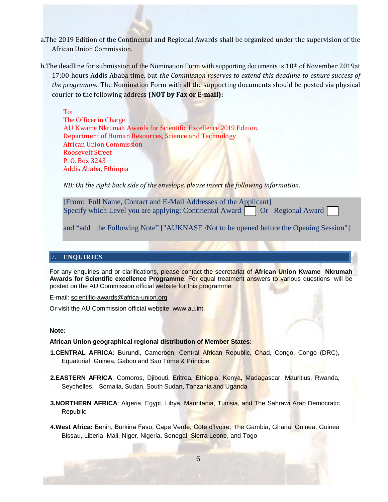- a.The 2019 Edition of the Continental and Regional Awards shall be organized under the supervision of the African Union Commission.
- b. The deadline for submission of the Nomination Form with supporting documents is 10<sup>th</sup> of November 2019at 17:00 hours Addis Ababa time, but *the Commission reserves to extend this deadline to esnure success of the programme*. The Nomination Form with all the supporting documents should be posted via physical courier to the following address **(NOT by Fax or E-mail):**

To: The Officer in Charge AU Kwame Nkrumah Awards for Scientific Excellence 2019 Edition, Department of Human Resources, Science and Technology African Union Commission Roosevelt Street P. O. Box 3243 Addis Ababa, Ethiopia

*NB: On the right back side of the envelope, please insert the following information:*

[From: Full Name, Contact and E-Mail Addresses of the Applicant] Specify which Level you are applying: Continental Award **Or** Regional Award

and "add the Following Note" ["AUKNASE /Not to be opened before the Opening Session"]

#### 7. **ENQUIRIES**

For any enquiries and or clarifications, please contact the secretariat of **African Union Kwame Nkrumah Awards for Scientific excellence Programme**. For equal treatment answers to various questions will be posted on the AU Commission official website for this programme:

E-mail: [scientific-awards@africa-union.org](mailto:scientific-awards@africa-union.org)

Or visit the AU Commission official website: [www.au.int](http://www.au.int/)

#### **Note:**

#### **African Union geographical regional distribution of Member States:**

- **1.CENTRAL AFRICA:** Burundi, Cameroon, Central African Republic, Chad, Congo, Congo (DRC), Equatorial Guinea, Gabon and Sao Tome & Principe
- **2.EASTERN AFRICA**: Comoros, Djibouti, Eritrea, Ethiopia, Kenya, Madagascar, Mauritius, Rwanda, Seychelles, Somalia, Sudan, South Sudan, Tanzania and Uganda
- **3.NORTHERN AFRICA**: Algeria, Egypt, Libya, Mauritania, Tunisia, and The Sahrawi Arab Democratic Republic

**4.West Africa:** Benin, Burkina Faso, Cape Verde, Cote d'Ivoire, The Gambia, Ghana, Guinea, Guinea Bissau, Liberia, Mali, Niger, Nigeria, Senegal, Sierra Leone, and Togo